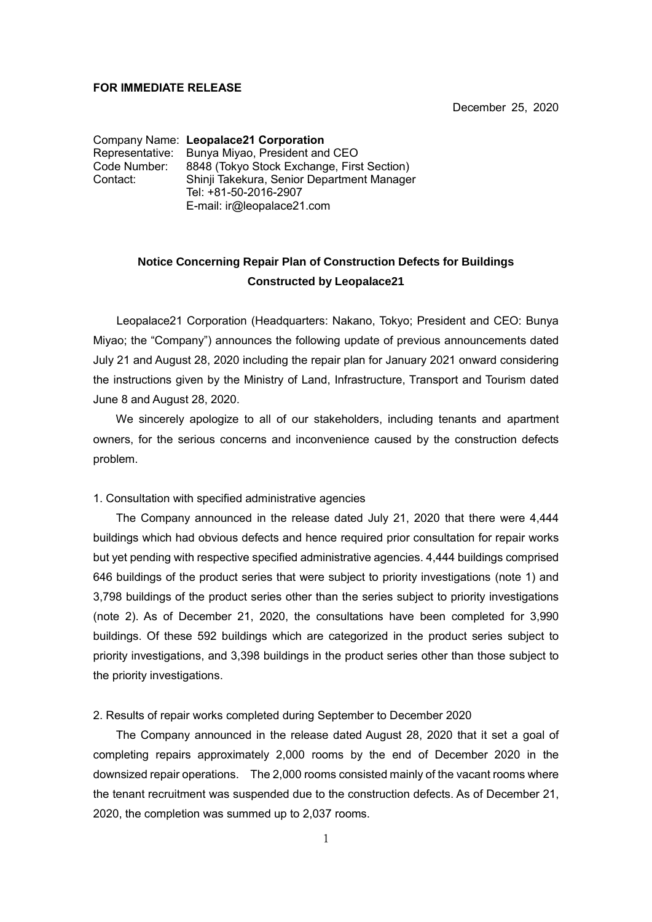## **FOR IMMEDIATE RELEASE**

December 25, 2020

Company Name: **Leopalace21 Corporation** Representative: Bunya Miyao, President and CEO<br>Code Number: 8848 (Tokyo Stock Exchange, Firs 8848 (Tokyo Stock Exchange, First Section) Contact: Shinji Takekura, Senior Department Manager Tel: +81-50-2016-2907 E-mail: ir@leopalace21.com

## **Notice Concerning Repair Plan of Construction Defects for Buildings Constructed by Leopalace21**

Leopalace21 Corporation (Headquarters: Nakano, Tokyo; President and CEO: Bunya Miyao; the "Company") announces the following update of previous announcements dated July 21 and August 28, 2020 including the repair plan for January 2021 onward considering the instructions given by the Ministry of Land, Infrastructure, Transport and Tourism dated June 8 and August 28, 2020.

 We sincerely apologize to all of our stakeholders, including tenants and apartment owners, for the serious concerns and inconvenience caused by the construction defects problem.

## 1. Consultation with specified administrative agencies

 The Company announced in the release dated July 21, 2020 that there were 4,444 buildings which had obvious defects and hence required prior consultation for repair works but yet pending with respective specified administrative agencies. 4,444 buildings comprised 646 buildings of the product series that were subject to priority investigations (note 1) and 3,798 buildings of the product series other than the series subject to priority investigations (note 2). As of December 21, 2020, the consultations have been completed for 3,990 buildings. Of these 592 buildings which are categorized in the product series subject to priority investigations, and 3,398 buildings in the product series other than those subject to the priority investigations.

2. Results of repair works completed during September to December 2020

 The Company announced in the release dated August 28, 2020 that it set a goal of completing repairs approximately 2,000 rooms by the end of December 2020 in the downsized repair operations. The 2,000 rooms consisted mainly of the vacant rooms where the tenant recruitment was suspended due to the construction defects. As of December 21, 2020, the completion was summed up to 2,037 rooms.